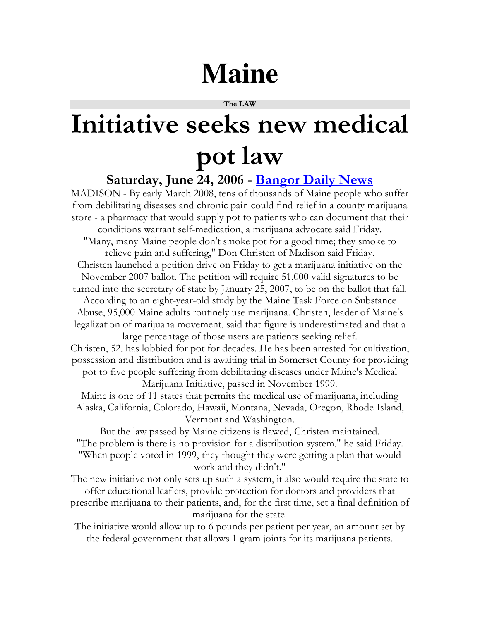# **Maine**

#### The LAW

# Initiative seeks new medical pot law

Saturday, June 24, 2006 - Bangor Daily News

MADISON - By early March 2008, tens of thousands of Maine people who suffer from debilitating diseases and chronic pain could find relief in a county marijuana store - a pharmacy that would supply pot to patients who can document that their conditions warrant self-medication, a marijuana advocate said Friday. "Many, many Maine people don't smoke pot for a good time; they smoke to relieve pain and suffering," Don Christen of Madison said Friday. Christen launched a petition drive on Friday to get a marijuana initiative on the November 2007 ballot. The petition will require 51,000 valid signatures to be turned into the secretary of state by January 25, 2007, to be on the ballot that fall. According to an eight-year-old study by the Maine Task Force on Substance Abuse, 95,000 Maine adults routinely use marijuana. Christen, leader of Maine's legalization of marijuana movement, said that figure is underestimated and that a large percentage of those users are patients seeking relief. Christen, 52, has lobbied for pot for decades. He has been arrested for cultivation, possession and distribution and is awaiting trial in Somerset County for providing pot to five people suffering from debilitating diseases under Maine's Medical Marijuana Initiative, passed in November 1999.

Maine is one of 11 states that permits the medical use of marijuana, including Alaska, California, Colorado, Hawaii, Montana, Nevada, Oregon, Rhode Island, Vermont and Washington.

But the law passed by Maine citizens is flawed, Christen maintained. "The problem is there is no provision for a distribution system," he said Friday. "When people voted in 1999, they thought they were getting a plan that would work and they didn't."

The new initiative not only sets up such a system, it also would require the state to offer educational leaflets, provide protection for doctors and providers that prescribe marijuana to their patients, and, for the first time, set a final definition of marijuana for the state.

The initiative would allow up to 6 pounds per patient per year, an amount set by the federal government that allows 1 gram joints for its marijuana patients.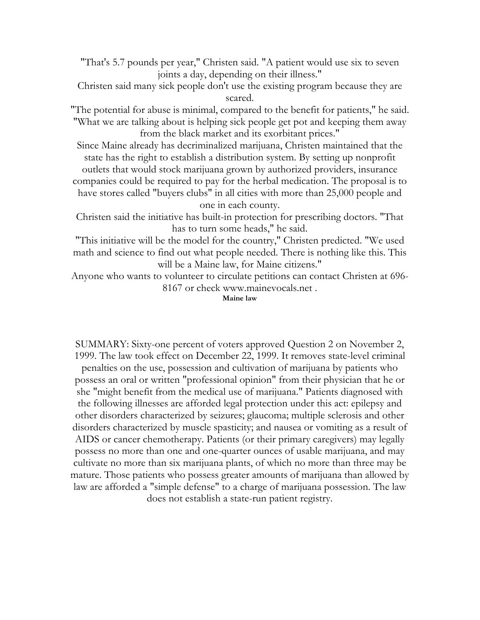"That's 5.7 pounds per year," Christen said. "A patient would use six to seven joints a day, depending on their illness."

Christen said many sick people don't use the existing program because they are scared.

"The potential for abuse is minimal, compared to the benefit for patients," he said. "What we are talking about is helping sick people get pot and keeping them away from the black market and its exorbitant prices."

Since Maine already has decriminalized marijuana, Christen maintained that the state has the right to establish a distribution system. By setting up nonprofit outlets that would stock marijuana grown by authorized providers, insurance

companies could be required to pay for the herbal medication. The proposal is to have stores called "buyers clubs" in all cities with more than 25,000 people and one in each county.

Christen said the initiative has built-in protection for prescribing doctors. "That has to turn some heads," he said.

"This initiative will be the model for the country," Christen predicted. "We used math and science to find out what people needed. There is nothing like this. This will be a Maine law, for Maine citizens."

Anyone who wants to volunteer to circulate petitions can contact Christen at 696- 8167 or check www.mainevocals.net .

#### Maine law

SUMMARY: Sixty-one percent of voters approved Question 2 on November 2, 1999. The law took effect on December 22, 1999. It removes state-level criminal penalties on the use, possession and cultivation of marijuana by patients who possess an oral or written "professional opinion" from their physician that he or she "might benefit from the medical use of marijuana." Patients diagnosed with the following illnesses are afforded legal protection under this act: epilepsy and other disorders characterized by seizures; glaucoma; multiple sclerosis and other disorders characterized by muscle spasticity; and nausea or vomiting as a result of AIDS or cancer chemotherapy. Patients (or their primary caregivers) may legally possess no more than one and one-quarter ounces of usable marijuana, and may cultivate no more than six marijuana plants, of which no more than three may be mature. Those patients who possess greater amounts of marijuana than allowed by law are afforded a "simple defense" to a charge of marijuana possession. The law does not establish a state-run patient registry.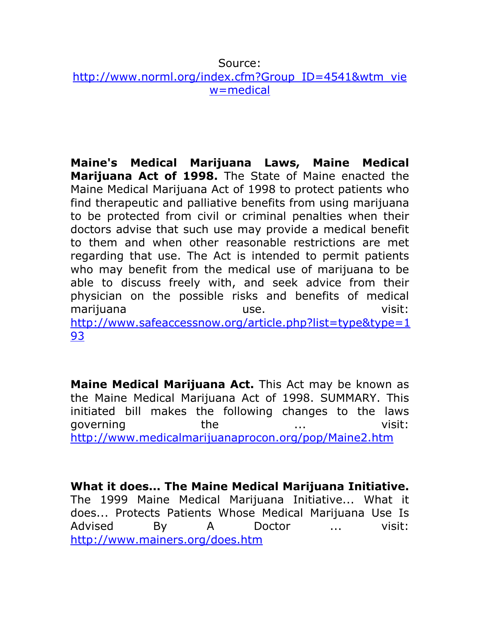## Source: http://www.norml.org/index.cfm?Group\_ID=4541&wtm\_vie w=medical

Maine's Medical Marijuana Laws, Maine Medical Marijuana Act of 1998. The State of Maine enacted the Maine Medical Marijuana Act of 1998 to protect patients who find therapeutic and palliative benefits from using marijuana to be protected from civil or criminal penalties when their doctors advise that such use may provide a medical benefit to them and when other reasonable restrictions are met regarding that use. The Act is intended to permit patients who may benefit from the medical use of marijuana to be able to discuss freely with, and seek advice from their physician on the possible risks and benefits of medical marijuana use. visit: http://www.safeaccessnow.org/article.php?list=type&type=1 93

Maine Medical Marijuana Act. This Act may be known as the Maine Medical Marijuana Act of 1998. SUMMARY. This initiated bill makes the following changes to the laws governing the ... visit: http://www.medicalmarijuanaprocon.org/pop/Maine2.htm

What it does... The Maine Medical Marijuana Initiative. The 1999 Maine Medical Marijuana Initiative... What it does... Protects Patients Whose Medical Marijuana Use Is Advised By A Doctor ... visit: http://www.mainers.org/does.htm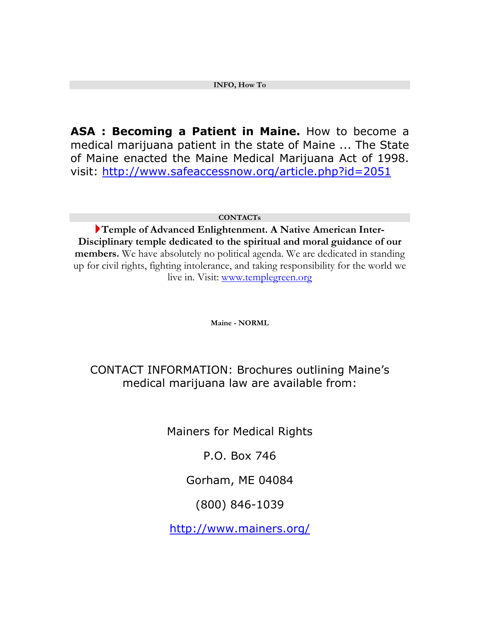INFO, How To

ASA : Becoming a Patient in Maine. How to become a medical marijuana patient in the state of Maine ... The State of Maine enacted the Maine Medical Marijuana Act of 1998. visit: http://www.safeaccessnow.org/article.php?id=2051

#### CONTACTs

Temple of Advanced Enlightenment. A Native American Inter-Disciplinary temple dedicated to the spiritual and moral guidance of our members. We have absolutely no political agenda. We are dedicated in standing up for civil rights, fighting intolerance, and taking responsibility for the world we live in. Visit: www.templegreen.org

Maine - NORML

## CONTACT INFORMATION: Brochures outlining Maine's medical marijuana law are available from:

Mainers for Medical Rights

P.O. Box 746

Gorham, ME 04084

(800) 846-1039

http://www.mainers.org/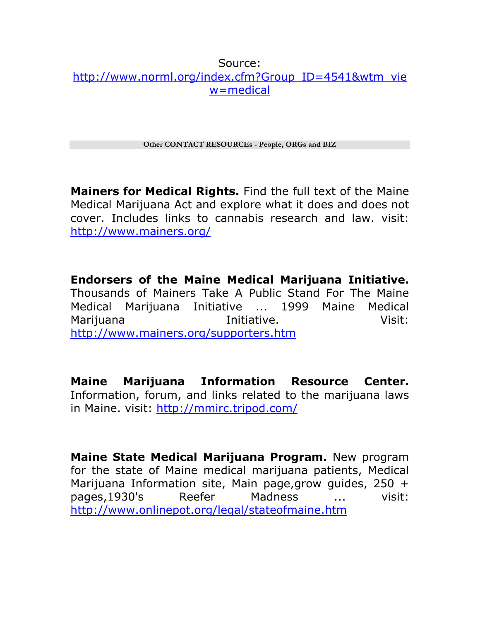### Source: http://www.norml.org/index.cfm?Group\_ID=4541&wtm\_vie w=medical

Other CONTACT RESOURCEs - People, ORGs and BIZ

Mainers for Medical Rights. Find the full text of the Maine Medical Marijuana Act and explore what it does and does not cover. Includes links to cannabis research and law. visit: http://www.mainers.org/

Endorsers of the Maine Medical Marijuana Initiative. Thousands of Mainers Take A Public Stand For The Maine Medical Marijuana Initiative ... 1999 Maine Medical Marijuana Initiative. Visit: http://www.mainers.org/supporters.htm

Maine Marijuana Information Resource Center. Information, forum, and links related to the marijuana laws in Maine. visit: http://mmirc.tripod.com/

Maine State Medical Marijuana Program. New program for the state of Maine medical marijuana patients, Medical Marijuana Information site, Main page, grow guides, 250 + pages,1930's Reefer Madness ... visit: http://www.onlinepot.org/legal/stateofmaine.htm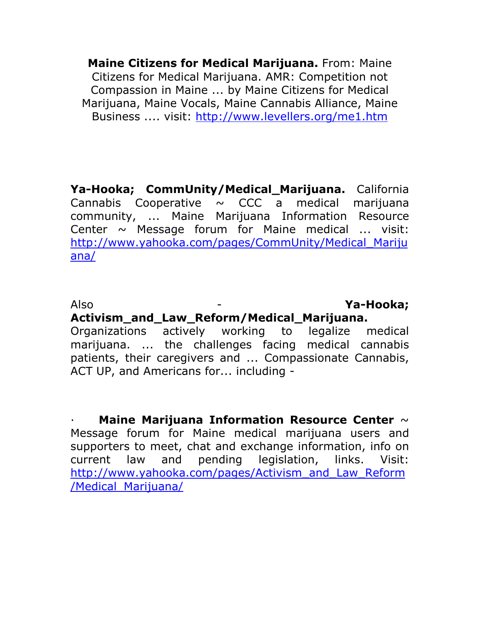Maine Citizens for Medical Marijuana. From: Maine Citizens for Medical Marijuana. AMR: Competition not Compassion in Maine ... by Maine Citizens for Medical Marijuana, Maine Vocals, Maine Cannabis Alliance, Maine Business .... visit: http://www.levellers.org/me1.htm

Ya-Hooka; CommUnity/Medical Marijuana. California Cannabis Cooperative  $\sim$  CCC a medical marijuana community, ... Maine Marijuana Information Resource Center  $\sim$  Message forum for Maine medical ... visit: http://www.yahooka.com/pages/CommUnity/Medical\_Mariju ana/

## Also **Also - Ya-Hooka;**

Activism\_and\_Law\_Reform/Medical\_Marijuana. Organizations actively working to legalize medical marijuana. ... the challenges facing medical cannabis patients, their caregivers and ... Compassionate Cannabis, ACT UP, and Americans for... including -

Maine Marijuana Information Resource Center  $\sim$ Message forum for Maine medical marijuana users and supporters to meet, chat and exchange information, info on current law and pending legislation, links. Visit: http://www.yahooka.com/pages/Activism\_and\_Law\_Reform /Medical\_Marijuana/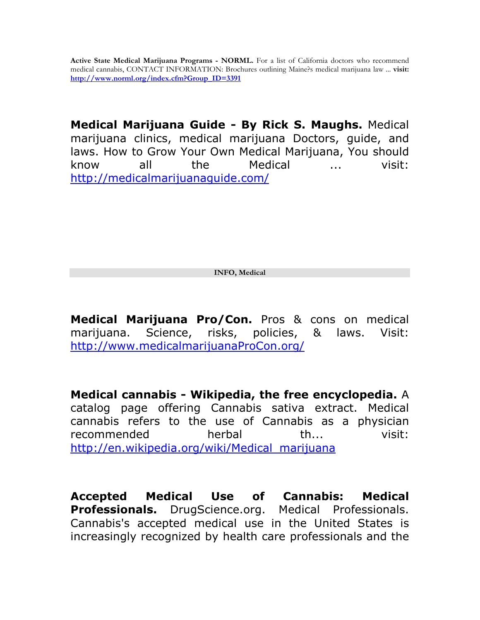Active State Medical Marijuana Programs - NORML. For a list of California doctors who recommend medical cannabis, CONTACT INFORMATION: Brochures outlining Maine?s medical marijuana law ... visit: http://www.norml.org/index.cfm?Group\_ID=3391

Medical Marijuana Guide - By Rick S. Maughs. Medical marijuana clinics, medical marijuana Doctors, guide, and laws. How to Grow Your Own Medical Marijuana, You should know all the Medical ... visit: http://medicalmarijuanaguide.com/

INFO, Medical

Medical Marijuana Pro/Con. Pros & cons on medical marijuana. Science, risks, policies, & laws. Visit: http://www.medicalmarijuanaProCon.org/

Medical cannabis - Wikipedia, the free encyclopedia. A catalog page offering Cannabis sativa extract. Medical cannabis refers to the use of Cannabis as a physician recommended herbal th... visit: http://en.wikipedia.org/wiki/Medical\_marijuana

Accepted Medical Use of Cannabis: Medical Professionals. DrugScience.org. Medical Professionals. Cannabis's accepted medical use in the United States is increasingly recognized by health care professionals and the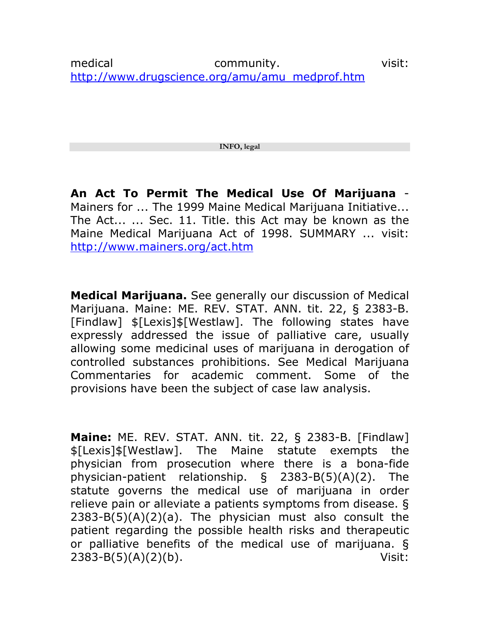medical community. visit: http://www.drugscience.org/amu/amu\_medprof.htm

INFO, legal

An Act To Permit The Medical Use Of Marijuana - Mainers for ... The 1999 Maine Medical Marijuana Initiative... The Act... ... Sec. 11. Title. this Act may be known as the Maine Medical Marijuana Act of 1998. SUMMARY ... visit: http://www.mainers.org/act.htm

Medical Marijuana. See generally our discussion of Medical Marijuana. Maine: ME. REV. STAT. ANN. tit. 22, § 2383-B. [Findlaw] \$[Lexis]\$[Westlaw]. The following states have expressly addressed the issue of palliative care, usually allowing some medicinal uses of marijuana in derogation of controlled substances prohibitions. See Medical Marijuana Commentaries for academic comment. Some of the provisions have been the subject of case law analysis.

Maine: ME. REV. STAT. ANN. tit. 22, § 2383-B. [Findlaw] \$[Lexis]\$[Westlaw]. The Maine statute exempts the physician from prosecution where there is a bona-fide physician-patient relationship. § 2383-B(5)(A)(2). The statute governs the medical use of marijuana in order relieve pain or alleviate a patients symptoms from disease. §  $2383-B(5)(A)(2)(a)$ . The physician must also consult the patient regarding the possible health risks and therapeutic or palliative benefits of the medical use of marijuana. § 2383-B(5)(A)(2)(b). Visit: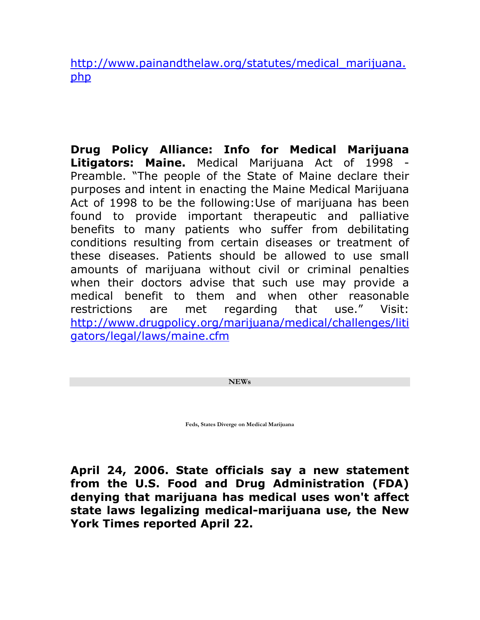http://www.painandthelaw.org/statutes/medical marijuana. php

Drug Policy Alliance: Info for Medical Marijuana Litigators: Maine. Medical Marijuana Act of 1998 -Preamble. "The people of the State of Maine declare their purposes and intent in enacting the Maine Medical Marijuana Act of 1998 to be the following:Use of marijuana has been found to provide important therapeutic and palliative benefits to many patients who suffer from debilitating conditions resulting from certain diseases or treatment of these diseases. Patients should be allowed to use small amounts of marijuana without civil or criminal penalties when their doctors advise that such use may provide a medical benefit to them and when other reasonable restrictions are met regarding that use." Visit: http://www.drugpolicy.org/marijuana/medical/challenges/liti gators/legal/laws/maine.cfm

NEWs

Feds, States Diverge on Medical Marijuana

April 24, 2006. State officials say a new statement from the U.S. Food and Drug Administration (FDA) denying that marijuana has medical uses won't affect state laws legalizing medical-marijuana use, the New York Times reported April 22.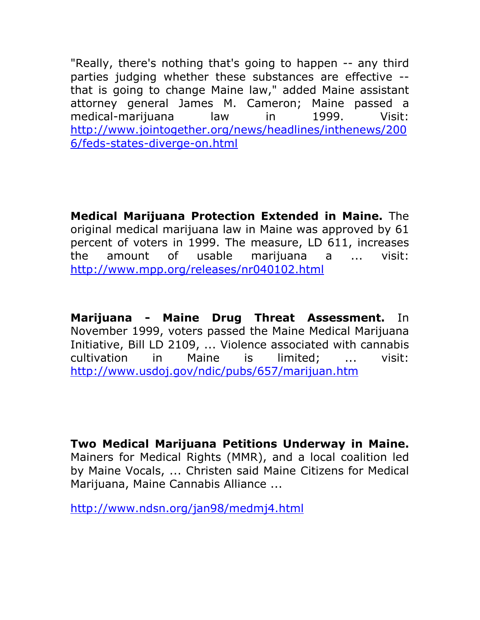"Really, there's nothing that's going to happen -- any third parties judging whether these substances are effective - that is going to change Maine law," added Maine assistant attorney general James M. Cameron; Maine passed a medical-marijuana law in 1999. Visit: http://www.jointogether.org/news/headlines/inthenews/200 6/feds-states-diverge-on.html

Medical Marijuana Protection Extended in Maine. The original medical marijuana law in Maine was approved by 61 percent of voters in 1999. The measure, LD 611, increases the amount of usable marijuana a ... visit: http://www.mpp.org/releases/nr040102.html

Marijuana - Maine Drug Threat Assessment. In November 1999, voters passed the Maine Medical Marijuana Initiative, Bill LD 2109, ... Violence associated with cannabis cultivation in Maine is limited; ... visit: http://www.usdoj.gov/ndic/pubs/657/marijuan.htm

Two Medical Marijuana Petitions Underway in Maine. Mainers for Medical Rights (MMR), and a local coalition led by Maine Vocals, ... Christen said Maine Citizens for Medical Marijuana, Maine Cannabis Alliance ...

http://www.ndsn.org/jan98/medmj4.html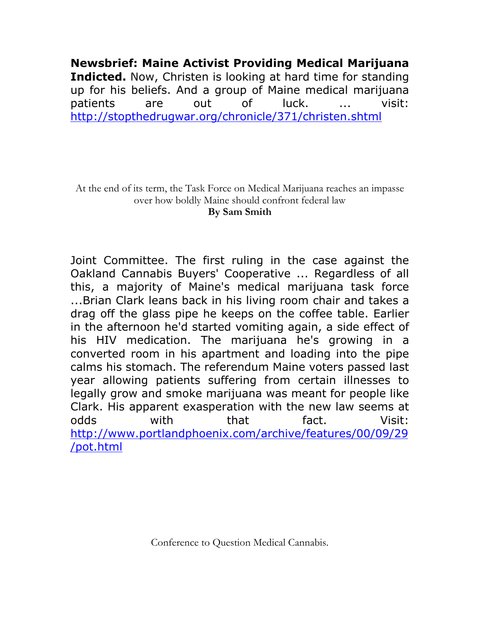Newsbrief: Maine Activist Providing Medical Marijuana Indicted. Now, Christen is looking at hard time for standing up for his beliefs. And a group of Maine medical marijuana patients are out of luck. ... visit: http://stopthedrugwar.org/chronicle/371/christen.shtml

At the end of its term, the Task Force on Medical Marijuana reaches an impasse over how boldly Maine should confront federal law By Sam Smith

Joint Committee. The first ruling in the case against the Oakland Cannabis Buyers' Cooperative ... Regardless of all this, a majority of Maine's medical marijuana task force ...Brian Clark leans back in his living room chair and takes a drag off the glass pipe he keeps on the coffee table. Earlier in the afternoon he'd started vomiting again, a side effect of his HIV medication. The marijuana he's growing in a converted room in his apartment and loading into the pipe calms his stomach. The referendum Maine voters passed last year allowing patients suffering from certain illnesses to legally grow and smoke marijuana was meant for people like Clark. His apparent exasperation with the new law seems at odds with that fact. Visit: http://www.portlandphoenix.com/archive/features/00/09/29 /pot.html

Conference to Question Medical Cannabis.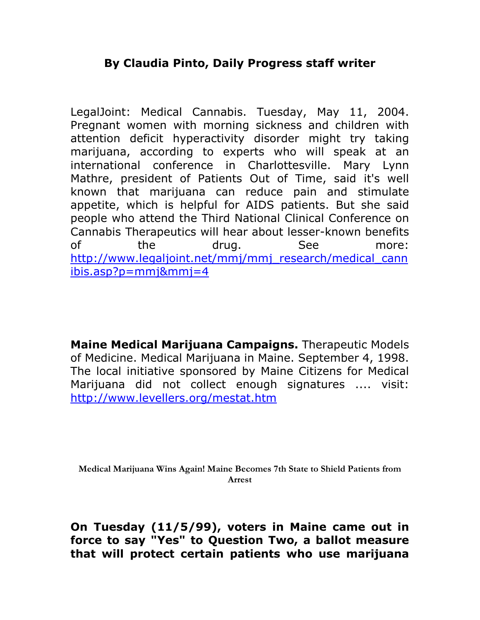## By Claudia Pinto, Daily Progress staff writer

LegalJoint: Medical Cannabis. Tuesday, May 11, 2004. Pregnant women with morning sickness and children with attention deficit hyperactivity disorder might try taking marijuana, according to experts who will speak at an international conference in Charlottesville. Mary Lynn Mathre, president of Patients Out of Time, said it's well known that marijuana can reduce pain and stimulate appetite, which is helpful for AIDS patients. But she said people who attend the Third National Clinical Conference on Cannabis Therapeutics will hear about lesser-known benefits of the drug. See more: http://www.legaljoint.net/mmj/mmj\_research/medical\_cann ibis.asp?p=mmj&mmj=4

Maine Medical Marijuana Campaigns. Therapeutic Models of Medicine. Medical Marijuana in Maine. September 4, 1998. The local initiative sponsored by Maine Citizens for Medical Marijuana did not collect enough signatures .... visit: http://www.levellers.org/mestat.htm

Medical Marijuana Wins Again! Maine Becomes 7th State to Shield Patients from Arrest

On Tuesday (11/5/99), voters in Maine came out in force to say "Yes" to Question Two, a ballot measure that will protect certain patients who use marijuana